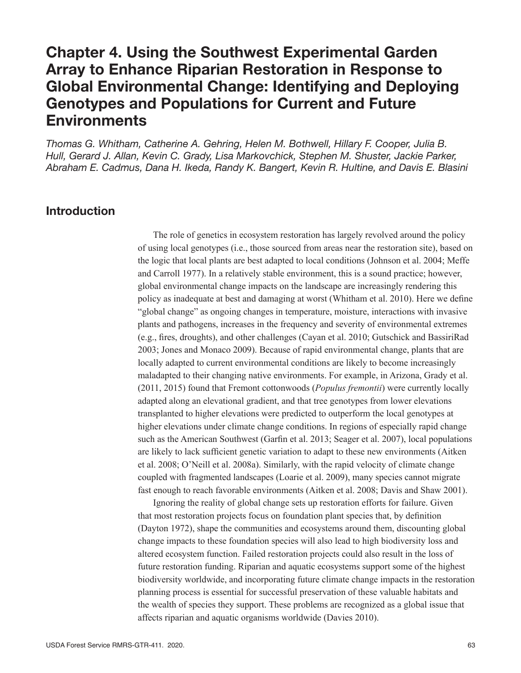# Chapter 4. Using the Southwest Experimental Garden Array to Enhance Riparian Restoration in Response to Global Environmental Change: Identifying and Deploying Genotypes and Populations for Current and Future Environments

*Thomas G. Whitham, Catherine A. Gehring, Helen M. Bothwell, Hillary F. Cooper, Julia B. Hull, Gerard J. Allan, Kevin C. Grady, Lisa Markovchick, Stephen M. Shuster, Jackie Parker, Abraham E. Cadmus, Dana H. Ikeda, Randy K. Bangert, Kevin R. Hultine, and Davis E. Blasini*

## Introduction

The role of genetics in ecosystem restoration has largely revolved around the policy of using local genotypes (i.e., those sourced from areas near the restoration site), based on the logic that local plants are best adapted to local conditions (Johnson et al. 2004; Meffe and Carroll 1977). In a relatively stable environment, this is a sound practice; however, global environmental change impacts on the landscape are increasingly rendering this policy as inadequate at best and damaging at worst (Whitham et al. 2010). Here we define "global change" as ongoing changes in temperature, moisture, interactions with invasive plants and pathogens, increases in the frequency and severity of environmental extremes (e.g., fires, droughts), and other challenges (Cayan et al. 2010; Gutschick and BassiriRad 2003; Jones and Monaco 2009). Because of rapid environmental change, plants that are locally adapted to current environmental conditions are likely to become increasingly maladapted to their changing native environments. For example, in Arizona, Grady et al. (2011, 2015) found that Fremont cottonwoods (*Populus fremontii*) were currently locally adapted along an elevational gradient, and that tree genotypes from lower elevations transplanted to higher elevations were predicted to outperform the local genotypes at higher elevations under climate change conditions. In regions of especially rapid change such as the American Southwest (Garfin et al. 2013; Seager et al. 2007), local populations are likely to lack sufficient genetic variation to adapt to these new environments (Aitken et al. 2008; O'Neill et al. 2008a). Similarly, with the rapid velocity of climate change coupled with fragmented landscapes (Loarie et al. 2009), many species cannot migrate fast enough to reach favorable environments (Aitken et al. 2008; Davis and Shaw 2001).

Ignoring the reality of global change sets up restoration efforts for failure. Given that most restoration projects focus on foundation plant species that, by definition (Dayton 1972), shape the communities and ecosystems around them, discounting global change impacts to these foundation species will also lead to high biodiversity loss and altered ecosystem function. Failed restoration projects could also result in the loss of future restoration funding. Riparian and aquatic ecosystems support some of the highest biodiversity worldwide, and incorporating future climate change impacts in the restoration planning process is essential for successful preservation of these valuable habitats and the wealth of species they support. These problems are recognized as a global issue that affects riparian and aquatic organisms worldwide (Davies 2010).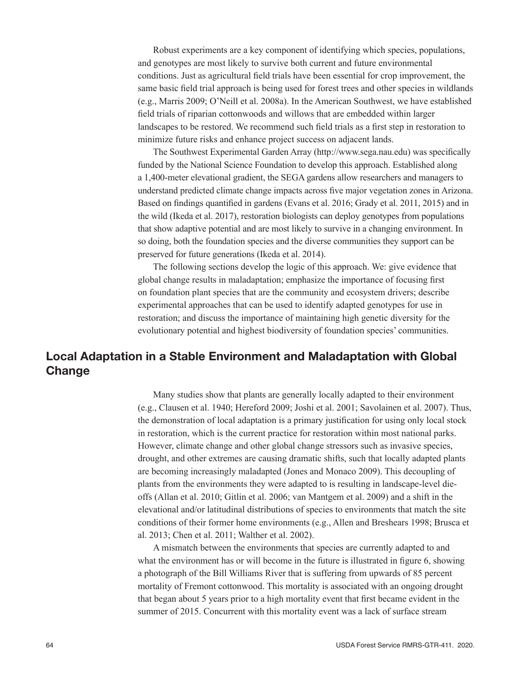Robust experiments are a key component of identifying which species, populations, and genotypes are most likely to survive both current and future environmental conditions. Just as agricultural field trials have been essential for crop improvement, the same basic field trial approach is being used for forest trees and other species in wildlands (e.g., Marris 2009; O'Neill et al. 2008a). In the American Southwest, we have established field trials of riparian cottonwoods and willows that are embedded within larger landscapes to be restored. We recommend such field trials as a first step in restoration to minimize future risks and enhance project success on adjacent lands.

The Southwest Experimental Garden Array ([http://www.sega.nau.edu\)](http://www.sega.nau.edu) was specifically funded by the National Science Foundation to develop this approach. Established along a 1,400-meter elevational gradient, the SEGA gardens allow researchers and managers to understand predicted climate change impacts across five major vegetation zones in Arizona. Based on findings quantified in gardens (Evans et al. 2016; Grady et al. 2011, 2015) and in the wild (Ikeda et al. 2017), restoration biologists can deploy genotypes from populations that show adaptive potential and are most likely to survive in a changing environment. In so doing, both the foundation species and the diverse communities they support can be preserved for future generations (Ikeda et al. 2014).

The following sections develop the logic of this approach. We: give evidence that global change results in maladaptation; emphasize the importance of focusing first on foundation plant species that are the community and ecosystem drivers; describe experimental approaches that can be used to identify adapted genotypes for use in restoration; and discuss the importance of maintaining high genetic diversity for the evolutionary potential and highest biodiversity of foundation species' communities.

# Local Adaptation in a Stable Environment and Maladaptation with Global **Change**

Many studies show that plants are generally locally adapted to their environment (e.g., Clausen et al. 1940; Hereford 2009; Joshi et al. 2001; Savolainen et al. 2007). Thus, the demonstration of local adaptation is a primary justification for using only local stock in restoration, which is the current practice for restoration within most national parks. However, climate change and other global change stressors such as invasive species, drought, and other extremes are causing dramatic shifts, such that locally adapted plants are becoming increasingly maladapted (Jones and Monaco 2009). This decoupling of plants from the environments they were adapted to is resulting in landscape-level dieoffs (Allan et al. 2010; Gitlin et al. 2006; van Mantgem et al. 2009) and a shift in the elevational and/or latitudinal distributions of species to environments that match the site conditions of their former home environments (e.g., Allen and Breshears 1998; Brusca et al. 2013; Chen et al. 2011; Walther et al. 2002).

A mismatch between the environments that species are currently adapted to and what the environment has or will become in the future is illustrated in figure 6, showing a photograph of the Bill Williams River that is suffering from upwards of 85 percent mortality of Fremont cottonwood. This mortality is associated with an ongoing drought that began about 5 years prior to a high mortality event that first became evident in the summer of 2015. Concurrent with this mortality event was a lack of surface stream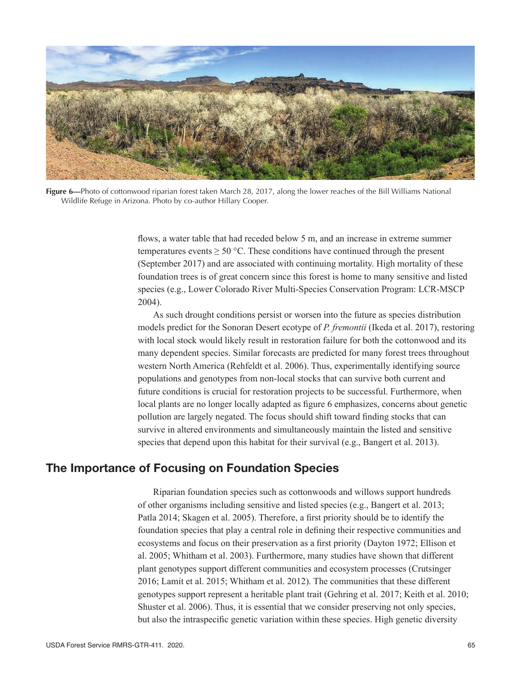

**Figure 6—**Photo of cottonwood riparian forest taken March 28, 2017, along the lower reaches of the Bill Williams National Wildlife Refuge in Arizona. Photo by co-author Hillary Cooper.

flows, a water table that had receded below 5 m, and an increase in extreme summer temperatures events  $\geq 50$  °C. These conditions have continued through the present (September 2017) and are associated with continuing mortality. High mortality of these foundation trees is of great concern since this forest is home to many sensitive and listed species (e.g., Lower Colorado River Multi-Species Conservation Program: LCR-MSCP 2004).

As such drought conditions persist or worsen into the future as species distribution models predict for the Sonoran Desert ecotype of *P. fremontii* (Ikeda et al. 2017), restoring with local stock would likely result in restoration failure for both the cottonwood and its many dependent species. Similar forecasts are predicted for many forest trees throughout western North America (Rehfeldt et al. 2006). Thus, experimentally identifying source populations and genotypes from non-local stocks that can survive both current and future conditions is crucial for restoration projects to be successful. Furthermore, when local plants are no longer locally adapted as figure 6 emphasizes, concerns about genetic pollution are largely negated. The focus should shift toward finding stocks that can survive in altered environments and simultaneously maintain the listed and sensitive species that depend upon this habitat for their survival (e.g., Bangert et al. 2013).

### The Importance of Focusing on Foundation Species

Riparian foundation species such as cottonwoods and willows support hundreds of other organisms including sensitive and listed species (e.g., Bangert et al. 2013; Patla 2014; Skagen et al. 2005). Therefore, a first priority should be to identify the foundation species that play a central role in defining their respective communities and ecosystems and focus on their preservation as a first priority (Dayton 1972; Ellison et al. 2005; Whitham et al. 2003). Furthermore, many studies have shown that different plant genotypes support different communities and ecosystem processes (Crutsinger 2016; Lamit et al. 2015; Whitham et al. 2012). The communities that these different genotypes support represent a heritable plant trait (Gehring et al. 2017; Keith et al. 2010; Shuster et al. 2006). Thus, it is essential that we consider preserving not only species, but also the intraspecific genetic variation within these species. High genetic diversity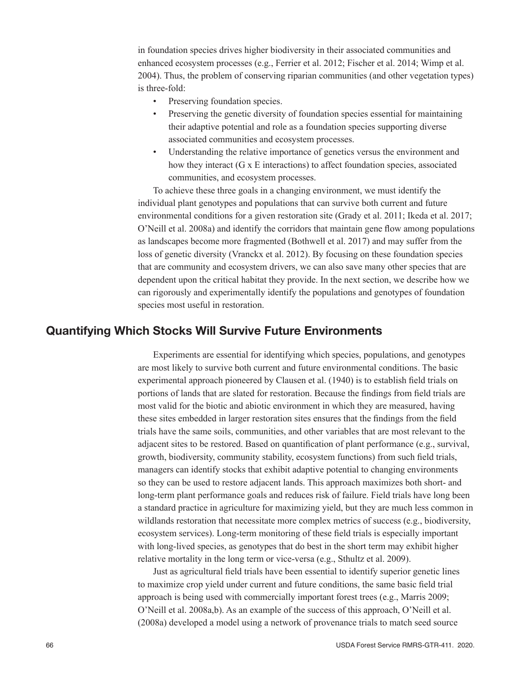in foundation species drives higher biodiversity in their associated communities and enhanced ecosystem processes (e.g., Ferrier et al. 2012; Fischer et al. 2014; Wimp et al. 2004). Thus, the problem of conserving riparian communities (and other vegetation types) is three-fold:

- Preserving foundation species.
- Preserving the genetic diversity of foundation species essential for maintaining their adaptive potential and role as a foundation species supporting diverse associated communities and ecosystem processes.
- Understanding the relative importance of genetics versus the environment and how they interact (G x E interactions) to affect foundation species, associated communities, and ecosystem processes.

To achieve these three goals in a changing environment, we must identify the individual plant genotypes and populations that can survive both current and future environmental conditions for a given restoration site (Grady et al. 2011; Ikeda et al. 2017; O'Neill et al. 2008a) and identify the corridors that maintain gene flow among populations as landscapes become more fragmented (Bothwell et al. 2017) and may suffer from the loss of genetic diversity (Vranckx et al. 2012). By focusing on these foundation species that are community and ecosystem drivers, we can also save many other species that are dependent upon the critical habitat they provide. In the next section, we describe how we can rigorously and experimentally identify the populations and genotypes of foundation species most useful in restoration.

#### Quantifying Which Stocks Will Survive Future Environments

Experiments are essential for identifying which species, populations, and genotypes are most likely to survive both current and future environmental conditions. The basic experimental approach pioneered by Clausen et al. (1940) is to establish field trials on portions of lands that are slated for restoration. Because the findings from field trials are most valid for the biotic and abiotic environment in which they are measured, having these sites embedded in larger restoration sites ensures that the findings from the field trials have the same soils, communities, and other variables that are most relevant to the adjacent sites to be restored. Based on quantification of plant performance (e.g., survival, growth, biodiversity, community stability, ecosystem functions) from such field trials, managers can identify stocks that exhibit adaptive potential to changing environments so they can be used to restore adjacent lands. This approach maximizes both short- and long-term plant performance goals and reduces risk of failure. Field trials have long been a standard practice in agriculture for maximizing yield, but they are much less common in wildlands restoration that necessitate more complex metrics of success (e.g., biodiversity, ecosystem services). Long-term monitoring of these field trials is especially important with long-lived species, as genotypes that do best in the short term may exhibit higher relative mortality in the long term or vice-versa (e.g., Sthultz et al. 2009).

Just as agricultural field trials have been essential to identify superior genetic lines to maximize crop yield under current and future conditions, the same basic field trial approach is being used with commercially important forest trees (e.g., Marris 2009; O'Neill et al. 2008a,b). As an example of the success of this approach, O'Neill et al. (2008a) developed a model using a network of provenance trials to match seed source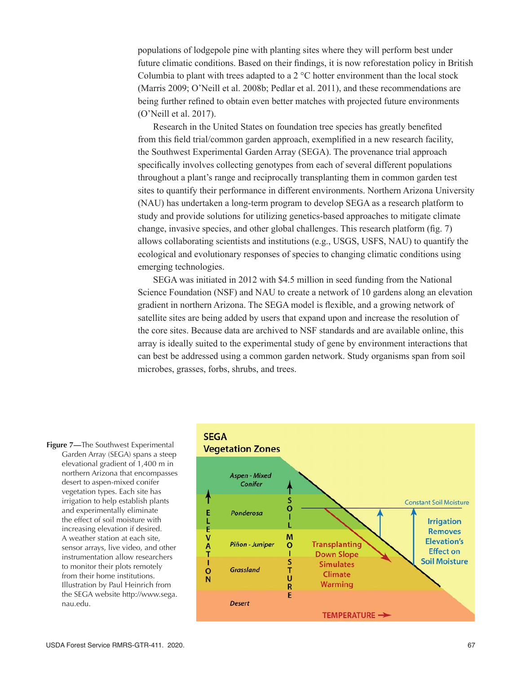populations of lodgepole pine with planting sites where they will perform best under future climatic conditions. Based on their findings, it is now reforestation policy in British Columbia to plant with trees adapted to a  $2^{\circ}$ C hotter environment than the local stock (Marris 2009; O'Neill et al. 2008b; Pedlar et al. 2011), and these recommendations are being further refined to obtain even better matches with projected future environments (O'Neill et al. 2017).

Research in the United States on foundation tree species has greatly benefited from this field trial/common garden approach, exemplified in a new research facility, the Southwest Experimental Garden Array (SEGA). The provenance trial approach specifically involves collecting genotypes from each of several different populations throughout a plant's range and reciprocally transplanting them in common garden test sites to quantify their performance in different environments. Northern Arizona University (NAU) has undertaken a long-term program to develop SEGA as a research platform to study and provide solutions for utilizing genetics-based approaches to mitigate climate change, invasive species, and other global challenges. This research platform (fig. 7) allows collaborating scientists and institutions (e.g., USGS, USFS, NAU) to quantify the ecological and evolutionary responses of species to changing climatic conditions using emerging technologies.

SEGA was initiated in 2012 with \$4.5 million in seed funding from the National Science Foundation (NSF) and NAU to create a network of 10 gardens along an elevation gradient in northern Arizona. The SEGA model is flexible, and a growing network of satellite sites are being added by users that expand upon and increase the resolution of the core sites. Because data are archived to NSF standards and are available online, this array is ideally suited to the experimental study of gene by environment interactions that can best be addressed using a common garden network. Study organisms span from soil microbes, grasses, forbs, shrubs, and trees.



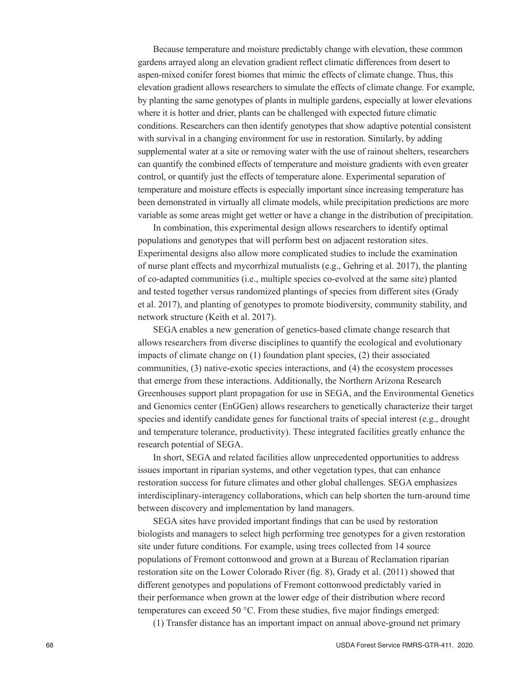Because temperature and moisture predictably change with elevation, these common gardens arrayed along an elevation gradient reflect climatic differences from desert to aspen-mixed conifer forest biomes that mimic the effects of climate change. Thus, this elevation gradient allows researchers to simulate the effects of climate change. For example, by planting the same genotypes of plants in multiple gardens, especially at lower elevations where it is hotter and drier, plants can be challenged with expected future climatic conditions. Researchers can then identify genotypes that show adaptive potential consistent with survival in a changing environment for use in restoration. Similarly, by adding supplemental water at a site or removing water with the use of rainout shelters, researchers can quantify the combined effects of temperature and moisture gradients with even greater control, or quantify just the effects of temperature alone. Experimental separation of temperature and moisture effects is especially important since increasing temperature has been demonstrated in virtually all climate models, while precipitation predictions are more variable as some areas might get wetter or have a change in the distribution of precipitation.

In combination, this experimental design allows researchers to identify optimal populations and genotypes that will perform best on adjacent restoration sites. Experimental designs also allow more complicated studies to include the examination of nurse plant effects and mycorrhizal mutualists (e.g., Gehring et al. 2017), the planting of co-adapted communities (i.e., multiple species co-evolved at the same site) planted and tested together versus randomized plantings of species from different sites (Grady et al. 2017), and planting of genotypes to promote biodiversity, community stability, and network structure (Keith et al. 2017).

SEGA enables a new generation of genetics-based climate change research that allows researchers from diverse disciplines to quantify the ecological and evolutionary impacts of climate change on (1) foundation plant species, (2) their associated communities, (3) native-exotic species interactions, and (4) the ecosystem processes that emerge from these interactions. Additionally, the Northern Arizona Research Greenhouses support plant propagation for use in SEGA, and the Environmental Genetics and Genomics center (EnGGen) allows researchers to genetically characterize their target species and identify candidate genes for functional traits of special interest (e.g., drought and temperature tolerance, productivity). These integrated facilities greatly enhance the research potential of SEGA.

In short, SEGA and related facilities allow unprecedented opportunities to address issues important in riparian systems, and other vegetation types, that can enhance restoration success for future climates and other global challenges. SEGA emphasizes interdisciplinary-interagency collaborations, which can help shorten the turn-around time between discovery and implementation by land managers.

SEGA sites have provided important findings that can be used by restoration biologists and managers to select high performing tree genotypes for a given restoration site under future conditions. For example, using trees collected from 14 source populations of Fremont cottonwood and grown at a Bureau of Reclamation riparian restoration site on the Lower Colorado River (fig. 8), Grady et al. (2011) showed that different genotypes and populations of Fremont cottonwood predictably varied in their performance when grown at the lower edge of their distribution where record temperatures can exceed 50 °C. From these studies, five major findings emerged:

(1) Transfer distance has an important impact on annual above-ground net primary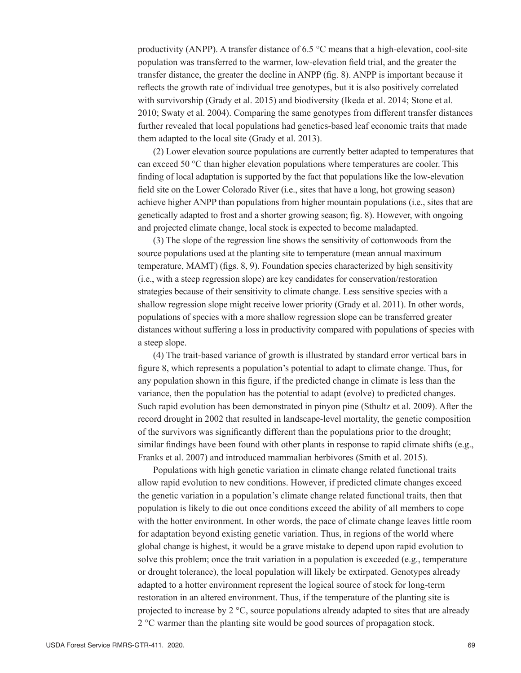productivity (ANPP). A transfer distance of 6.5 °C means that a high-elevation, cool-site population was transferred to the warmer, low-elevation field trial, and the greater the transfer distance, the greater the decline in ANPP (fig. 8). ANPP is important because it reflects the growth rate of individual tree genotypes, but it is also positively correlated with survivorship (Grady et al. 2015) and biodiversity (Ikeda et al. 2014; Stone et al. 2010; Swaty et al. 2004). Comparing the same genotypes from different transfer distances further revealed that local populations had genetics-based leaf economic traits that made them adapted to the local site (Grady et al. 2013).

(2) Lower elevation source populations are currently better adapted to temperatures that can exceed 50 °C than higher elevation populations where temperatures are cooler. This finding of local adaptation is supported by the fact that populations like the low-elevation field site on the Lower Colorado River (i.e., sites that have a long, hot growing season) achieve higher ANPP than populations from higher mountain populations (i.e., sites that are genetically adapted to frost and a shorter growing season; fig. 8). However, with ongoing and projected climate change, local stock is expected to become maladapted.

(3) The slope of the regression line shows the sensitivity of cottonwoods from the source populations used at the planting site to temperature (mean annual maximum temperature, MAMT) (figs. 8, 9). Foundation species characterized by high sensitivity (i.e., with a steep regression slope) are key candidates for conservation/restoration strategies because of their sensitivity to climate change. Less sensitive species with a shallow regression slope might receive lower priority (Grady et al. 2011). In other words, populations of species with a more shallow regression slope can be transferred greater distances without suffering a loss in productivity compared with populations of species with a steep slope.

(4) The trait-based variance of growth is illustrated by standard error vertical bars in figure 8, which represents a population's potential to adapt to climate change. Thus, for any population shown in this figure, if the predicted change in climate is less than the variance, then the population has the potential to adapt (evolve) to predicted changes. Such rapid evolution has been demonstrated in pinyon pine (Sthultz et al. 2009). After the record drought in 2002 that resulted in landscape-level mortality, the genetic composition of the survivors was significantly different than the populations prior to the drought; similar findings have been found with other plants in response to rapid climate shifts (e.g., Franks et al. 2007) and introduced mammalian herbivores (Smith et al. 2015).

Populations with high genetic variation in climate change related functional traits allow rapid evolution to new conditions. However, if predicted climate changes exceed the genetic variation in a population's climate change related functional traits, then that population is likely to die out once conditions exceed the ability of all members to cope with the hotter environment. In other words, the pace of climate change leaves little room for adaptation beyond existing genetic variation. Thus, in regions of the world where global change is highest, it would be a grave mistake to depend upon rapid evolution to solve this problem; once the trait variation in a population is exceeded (e.g., temperature or drought tolerance), the local population will likely be extirpated. Genotypes already adapted to a hotter environment represent the logical source of stock for long-term restoration in an altered environment. Thus, if the temperature of the planting site is projected to increase by  $2^{\circ}C$ , source populations already adapted to sites that are already 2 °C warmer than the planting site would be good sources of propagation stock.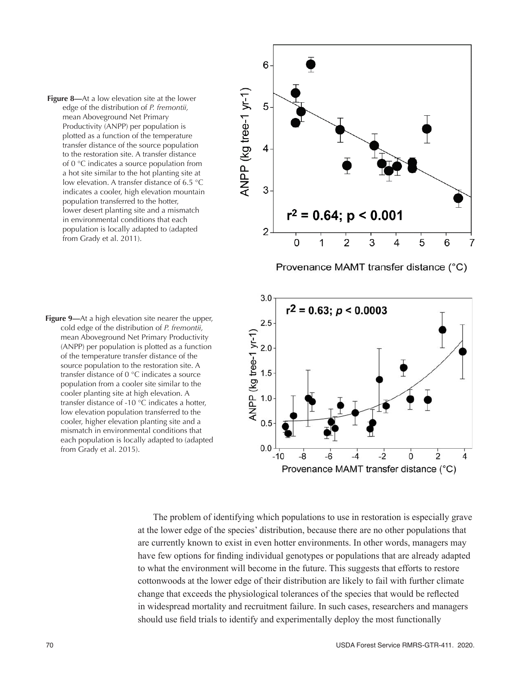



6 ANPP (kg tree-1 yr-1) 5 4 3  $r^2 = 0.64$ ; p < 0.001  $\overline{2}$ 5  $\Omega$ 1  $\overline{2}$ 3 4 6 7 Provenance MAMT transfer distance (°C)  $3.0$  $r^2 = 0.63$ ;  $p < 0.0003$ 



The problem of identifying which populations to use in restoration is especially grave at the lower edge of the species' distribution, because there are no other populations that are currently known to exist in even hotter environments. In other words, managers may have few options for finding individual genotypes or populations that are already adapted to what the environment will become in the future. This suggests that efforts to restore cottonwoods at the lower edge of their distribution are likely to fail with further climate change that exceeds the physiological tolerances of the species that would be reflected in widespread mortality and recruitment failure. In such cases, researchers and managers should use field trials to identify and experimentally deploy the most functionally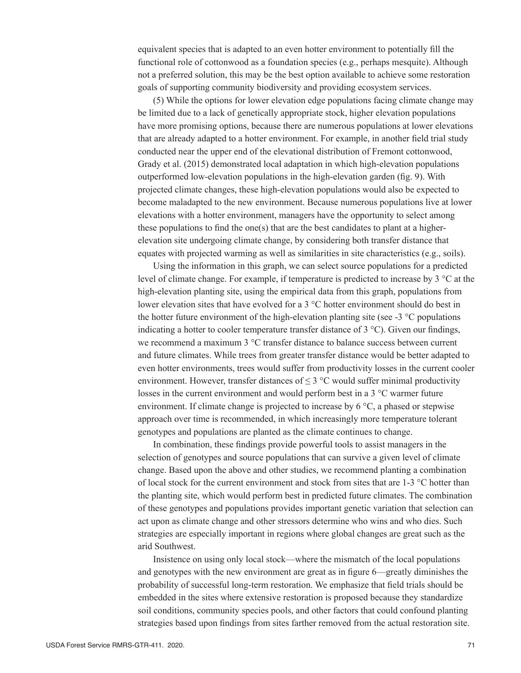equivalent species that is adapted to an even hotter environment to potentially fill the functional role of cottonwood as a foundation species (e.g., perhaps mesquite). Although not a preferred solution, this may be the best option available to achieve some restoration goals of supporting community biodiversity and providing ecosystem services.

(5) While the options for lower elevation edge populations facing climate change may be limited due to a lack of genetically appropriate stock, higher elevation populations have more promising options, because there are numerous populations at lower elevations that are already adapted to a hotter environment. For example, in another field trial study conducted near the upper end of the elevational distribution of Fremont cottonwood, Grady et al. (2015) demonstrated local adaptation in which high-elevation populations outperformed low-elevation populations in the high-elevation garden (fig. 9). With projected climate changes, these high-elevation populations would also be expected to become maladapted to the new environment. Because numerous populations live at lower elevations with a hotter environment, managers have the opportunity to select among these populations to find the one(s) that are the best candidates to plant at a higherelevation site undergoing climate change, by considering both transfer distance that equates with projected warming as well as similarities in site characteristics (e.g., soils).

Using the information in this graph, we can select source populations for a predicted level of climate change. For example, if temperature is predicted to increase by 3 °C at the high-elevation planting site, using the empirical data from this graph, populations from lower elevation sites that have evolved for a 3 °C hotter environment should do best in the hotter future environment of the high-elevation planting site (see  $-3 \degree C$  populations indicating a hotter to cooler temperature transfer distance of 3 °C). Given our findings, we recommend a maximum 3 °C transfer distance to balance success between current and future climates. While trees from greater transfer distance would be better adapted to even hotter environments, trees would suffer from productivity losses in the current cooler environment. However, transfer distances of  $\leq$  3 °C would suffer minimal productivity losses in the current environment and would perform best in a 3 °C warmer future environment. If climate change is projected to increase by 6 °C, a phased or stepwise approach over time is recommended, in which increasingly more temperature tolerant genotypes and populations are planted as the climate continues to change.

In combination, these findings provide powerful tools to assist managers in the selection of genotypes and source populations that can survive a given level of climate change. Based upon the above and other studies, we recommend planting a combination of local stock for the current environment and stock from sites that are  $1-3$  °C hotter than the planting site, which would perform best in predicted future climates. The combination of these genotypes and populations provides important genetic variation that selection can act upon as climate change and other stressors determine who wins and who dies. Such strategies are especially important in regions where global changes are great such as the arid Southwest.

Insistence on using only local stock—where the mismatch of the local populations and genotypes with the new environment are great as in figure 6—greatly diminishes the probability of successful long-term restoration. We emphasize that field trials should be embedded in the sites where extensive restoration is proposed because they standardize soil conditions, community species pools, and other factors that could confound planting strategies based upon findings from sites farther removed from the actual restoration site.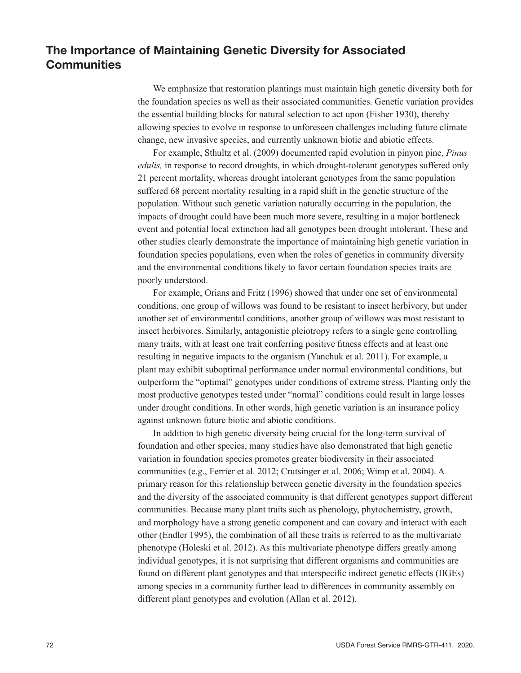# The Importance of Maintaining Genetic Diversity for Associated **Communities**

We emphasize that restoration plantings must maintain high genetic diversity both for the foundation species as well as their associated communities. Genetic variation provides the essential building blocks for natural selection to act upon (Fisher 1930), thereby allowing species to evolve in response to unforeseen challenges including future climate change, new invasive species, and currently unknown biotic and abiotic effects.

For example, Sthultz et al. (2009) documented rapid evolution in pinyon pine, *Pinus edulis,* in response to record droughts, in which drought-tolerant genotypes suffered only 21 percent mortality, whereas drought intolerant genotypes from the same population suffered 68 percent mortality resulting in a rapid shift in the genetic structure of the population. Without such genetic variation naturally occurring in the population, the impacts of drought could have been much more severe, resulting in a major bottleneck event and potential local extinction had all genotypes been drought intolerant. These and other studies clearly demonstrate the importance of maintaining high genetic variation in foundation species populations, even when the roles of genetics in community diversity and the environmental conditions likely to favor certain foundation species traits are poorly understood.

For example, Orians and Fritz (1996) showed that under one set of environmental conditions, one group of willows was found to be resistant to insect herbivory, but under another set of environmental conditions, another group of willows was most resistant to insect herbivores. Similarly, antagonistic pleiotropy refers to a single gene controlling many traits, with at least one trait conferring positive fitness effects and at least one resulting in negative impacts to the organism (Yanchuk et al. 2011). For example, a plant may exhibit suboptimal performance under normal environmental conditions, but outperform the "optimal" genotypes under conditions of extreme stress. Planting only the most productive genotypes tested under "normal" conditions could result in large losses under drought conditions. In other words, high genetic variation is an insurance policy against unknown future biotic and abiotic conditions.

In addition to high genetic diversity being crucial for the long-term survival of foundation and other species, many studies have also demonstrated that high genetic variation in foundation species promotes greater biodiversity in their associated communities (e.g., Ferrier et al. 2012; Crutsinger et al. 2006; Wimp et al. 2004). A primary reason for this relationship between genetic diversity in the foundation species and the diversity of the associated community is that different genotypes support different communities. Because many plant traits such as phenology, phytochemistry, growth, and morphology have a strong genetic component and can covary and interact with each other (Endler 1995), the combination of all these traits is referred to as the multivariate phenotype (Holeski et al. 2012). As this multivariate phenotype differs greatly among individual genotypes, it is not surprising that different organisms and communities are found on different plant genotypes and that interspecific indirect genetic effects (IIGEs) among species in a community further lead to differences in community assembly on different plant genotypes and evolution (Allan et al. 2012).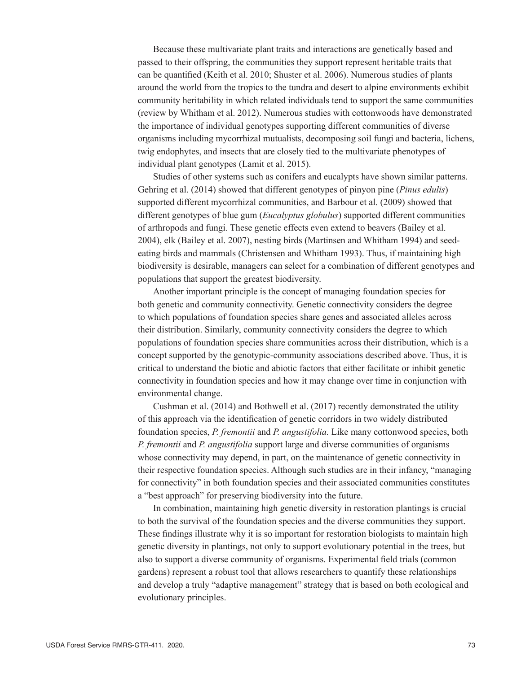Because these multivariate plant traits and interactions are genetically based and passed to their offspring, the communities they support represent heritable traits that can be quantified (Keith et al. 2010; Shuster et al. 2006). Numerous studies of plants around the world from the tropics to the tundra and desert to alpine environments exhibit community heritability in which related individuals tend to support the same communities (review by Whitham et al. 2012). Numerous studies with cottonwoods have demonstrated the importance of individual genotypes supporting different communities of diverse organisms including mycorrhizal mutualists, decomposing soil fungi and bacteria, lichens, twig endophytes, and insects that are closely tied to the multivariate phenotypes of individual plant genotypes (Lamit et al. 2015).

Studies of other systems such as conifers and eucalypts have shown similar patterns. Gehring et al. (2014) showed that different genotypes of pinyon pine (*Pinus edulis*) supported different mycorrhizal communities, and Barbour et al. (2009) showed that different genotypes of blue gum (*Eucalyptus globulus*) supported different communities of arthropods and fungi. These genetic effects even extend to beavers (Bailey et al. 2004), elk (Bailey et al. 2007), nesting birds (Martinsen and Whitham 1994) and seedeating birds and mammals (Christensen and Whitham 1993). Thus, if maintaining high biodiversity is desirable, managers can select for a combination of different genotypes and populations that support the greatest biodiversity.

Another important principle is the concept of managing foundation species for both genetic and community connectivity. Genetic connectivity considers the degree to which populations of foundation species share genes and associated alleles across their distribution. Similarly, community connectivity considers the degree to which populations of foundation species share communities across their distribution, which is a concept supported by the genotypic-community associations described above. Thus, it is critical to understand the biotic and abiotic factors that either facilitate or inhibit genetic connectivity in foundation species and how it may change over time in conjunction with environmental change.

Cushman et al. (2014) and Bothwell et al. (2017) recently demonstrated the utility of this approach via the identification of genetic corridors in two widely distributed foundation species, *P. fremontii* and *P. angustifolia.* Like many cottonwood species, both *P. fremontii* and *P. angustifolia* support large and diverse communities of organisms whose connectivity may depend, in part, on the maintenance of genetic connectivity in their respective foundation species. Although such studies are in their infancy, "managing for connectivity" in both foundation species and their associated communities constitutes a "best approach" for preserving biodiversity into the future.

In combination, maintaining high genetic diversity in restoration plantings is crucial to both the survival of the foundation species and the diverse communities they support. These findings illustrate why it is so important for restoration biologists to maintain high genetic diversity in plantings, not only to support evolutionary potential in the trees, but also to support a diverse community of organisms. Experimental field trials (common gardens) represent a robust tool that allows researchers to quantify these relationships and develop a truly "adaptive management" strategy that is based on both ecological and evolutionary principles.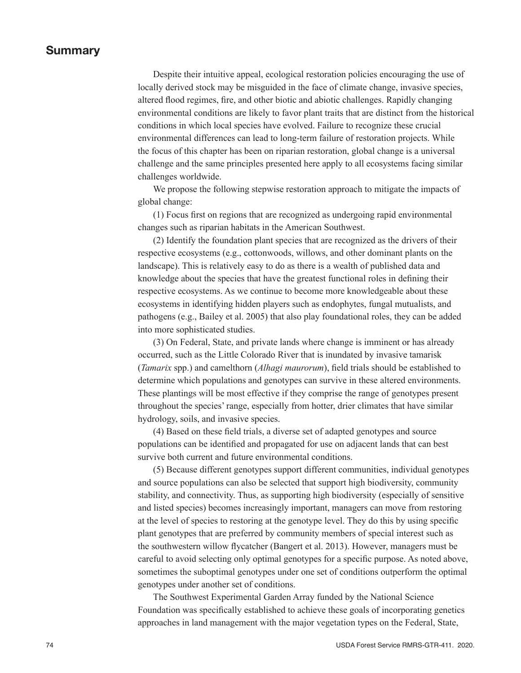#### Summary

Despite their intuitive appeal, ecological restoration policies encouraging the use of locally derived stock may be misguided in the face of climate change, invasive species, altered flood regimes, fire, and other biotic and abiotic challenges. Rapidly changing environmental conditions are likely to favor plant traits that are distinct from the historical conditions in which local species have evolved. Failure to recognize these crucial environmental differences can lead to long-term failure of restoration projects. While the focus of this chapter has been on riparian restoration, global change is a universal challenge and the same principles presented here apply to all ecosystems facing similar challenges worldwide.

We propose the following stepwise restoration approach to mitigate the impacts of global change:

(1) Focus first on regions that are recognized as undergoing rapid environmental changes such as riparian habitats in the American Southwest.

(2) Identify the foundation plant species that are recognized as the drivers of their respective ecosystems (e.g., cottonwoods, willows, and other dominant plants on the landscape). This is relatively easy to do as there is a wealth of published data and knowledge about the species that have the greatest functional roles in defining their respective ecosystems. As we continue to become more knowledgeable about these ecosystems in identifying hidden players such as endophytes, fungal mutualists, and pathogens (e.g., Bailey et al. 2005) that also play foundational roles, they can be added into more sophisticated studies.

(3) On Federal, State, and private lands where change is imminent or has already occurred, such as the Little Colorado River that is inundated by invasive tamarisk (*Tamarix* spp.) and camelthorn (*Alhagi maurorum*), field trials should be established to determine which populations and genotypes can survive in these altered environments. These plantings will be most effective if they comprise the range of genotypes present throughout the species' range, especially from hotter, drier climates that have similar hydrology, soils, and invasive species.

(4) Based on these field trials, a diverse set of adapted genotypes and source populations can be identified and propagated for use on adjacent lands that can best survive both current and future environmental conditions.

(5) Because different genotypes support different communities, individual genotypes and source populations can also be selected that support high biodiversity, community stability, and connectivity. Thus, as supporting high biodiversity (especially of sensitive and listed species) becomes increasingly important, managers can move from restoring at the level of species to restoring at the genotype level. They do this by using specific plant genotypes that are preferred by community members of special interest such as the southwestern willow flycatcher (Bangert et al. 2013). However, managers must be careful to avoid selecting only optimal genotypes for a specific purpose. As noted above, sometimes the suboptimal genotypes under one set of conditions outperform the optimal genotypes under another set of conditions.

The Southwest Experimental Garden Array funded by the National Science Foundation was specifically established to achieve these goals of incorporating genetics approaches in land management with the major vegetation types on the Federal, State,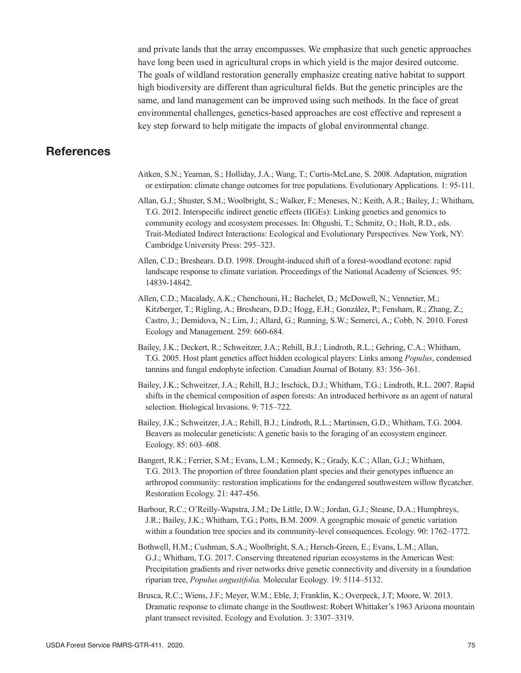and private lands that the array encompasses. We emphasize that such genetic approaches have long been used in agricultural crops in which yield is the major desired outcome. The goals of wildland restoration generally emphasize creating native habitat to support high biodiversity are different than agricultural fields. But the genetic principles are the same, and land management can be improved using such methods. In the face of great environmental challenges, genetics-based approaches are cost effective and represent a key step forward to help mitigate the impacts of global environmental change.

## **References**

- Aitken, S.N.; Yeaman, S.; Holliday, J.A.; Wang, T.; Curtis-McLane, S. 2008. Adaptation, migration or extirpation: climate change outcomes for tree populations. Evolutionary Applications. 1: 95-111.
- Allan, G.J.; Shuster, S.M.; Woolbright, S.; Walker, F.; Meneses, N.; Keith, A.R.; Bailey, J.; Whitham, T.G. 2012. Interspecific indirect genetic effects (IIGEs): Linking genetics and genomics to community ecology and ecosystem processes. In: Ohgushi, T.; Schmitz, O.; Holt, R.D., eds. Trait-Mediated Indirect Interactions: Ecological and Evolutionary Perspectives. New York, NY: Cambridge University Press: 295–323.
- Allen, C.D.; Breshears. D.D. 1998. Drought-induced shift of a forest-woodland ecotone: rapid landscape response to climate variation. Proceedings of the National Academy of Sciences. 95: 14839-14842.
- Allen, C.D.; Macalady, A.K.; Chenchouni, H.; Bachelet, D.; McDowell, N.; Vennetier, M.; Kitzberger, T.; Rigling, A.; Breshears, D.D.; Hogg, E.H.; González, P.; Fensham, R.; Zhang, Z.; Castro, J.; Demidova, N.; Lim, J.; Allard, G.; Running, S.W.; Semerci, A.; Cobb, N. 2010. Forest Ecology and Management. 259: 660-684.
- Bailey, J.K.; Deckert, R.; Schweitzer, J.A.; Rehill, B.J.; Lindroth, R.L.; Gehring, C.A.; Whitham, T.G. 2005. Host plant genetics affect hidden ecological players: Links among *Populus*, condensed tannins and fungal endophyte infection. Canadian Journal of Botany. 83: 356–361.
- Bailey, J.K.; Schweitzer, J.A.; Rehill, B.J.; Irschick, D.J.; Whitham, T.G.; Lindroth, R.L. 2007. Rapid shifts in the chemical composition of aspen forests: An introduced herbivore as an agent of natural selection. Biological Invasions. 9: 715–722.
- Bailey, J.K.; Schweitzer, J.A.; Rehill, B.J.; Lindroth, R.L.; Martinsen, G.D.; Whitham, T.G. 2004. Beavers as molecular geneticists: A genetic basis to the foraging of an ecosystem engineer. Ecology. 85: 603–608.
- Bangert, R.K.; Ferrier, S.M.; Evans, L.M.; Kennedy, K.; Grady, K.C.; Allan, G.J.; Whitham, T.G. 2013. The proportion of three foundation plant species and their genotypes influence an arthropod community: restoration implications for the endangered southwestern willow flycatcher. Restoration Ecology. 21: 447-456.
- Barbour, R.C.; O'Reilly-Wapstra, J.M.; De Little, D.W.; Jordan, G.J.; Steane, D.A.; Humphreys, J.R.; Bailey, J.K.; Whitham, T.G.; Potts, B.M. 2009. A geographic mosaic of genetic variation within a foundation tree species and its community-level consequences. Ecology. 90: 1762–1772.
- Bothwell, H.M.; Cushman, S.A.; Woolbright, S.A.; Hersch-Green, E.; Evans, L.M.; Allan, G.J.; Whitham, T.G. 2017. Conserving threatened riparian ecosystems in the American West: Precipitation gradients and river networks drive genetic connectivity and diversity in a foundation riparian tree, *Populus angustifolia.* Molecular Ecology. 19: 5114–5132.
- Brusca, R.C.; Wiens, J.F.; Meyer, W.M.; Eble, J; Franklin, K.; Overpeck, J.T; Moore, W. 2013. Dramatic response to climate change in the Southwest: Robert Whittaker's 1963 Arizona mountain plant transect revisited. Ecology and Evolution. 3: 3307–3319.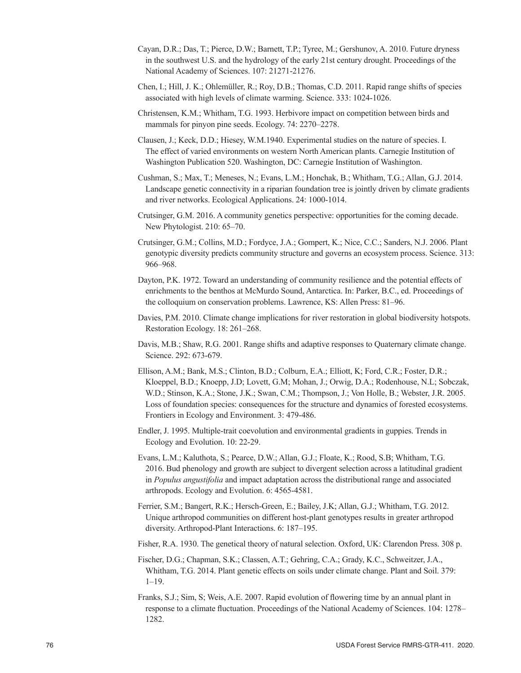- Cayan, D.R.; Das, T.; Pierce, D.W.; Barnett, T.P.; Tyree, M.; Gershunov, A. 2010. Future dryness in the southwest U.S. and the hydrology of the early 21st century drought. Proceedings of the National Academy of Sciences. 107: 21271-21276.
- Chen, I.; Hill, J. K.; Ohlemüller, R.; Roy, D.B.; Thomas, C.D. 2011. Rapid range shifts of species associated with high levels of climate warming. Science. 333: 1024-1026.
- Christensen, K.M.; Whitham, T.G. 1993. Herbivore impact on competition between birds and mammals for pinyon pine seeds. Ecology. 74: 2270–2278.
- Clausen, J.; Keck, D.D.; Hiesey, W.M.1940. Experimental studies on the nature of species. I. The effect of varied environments on western North American plants. Carnegie Institution of Washington Publication 520. Washington, DC: Carnegie Institution of Washington.
- Cushman, S.; Max, T.; Meneses, N.; Evans, L.M.; Honchak, B.; Whitham, T.G.; Allan, G.J. 2014. Landscape genetic connectivity in a riparian foundation tree is jointly driven by climate gradients and river networks. Ecological Applications. 24: 1000-1014.
- Crutsinger, G.M. 2016. A community genetics perspective: opportunities for the coming decade. New Phytologist. 210: 65–70.
- Crutsinger, G.M.; Collins, M.D.; Fordyce, J.A.; Gompert, K.; Nice, C.C.; Sanders, N.J. 2006. Plant genotypic diversity predicts community structure and governs an ecosystem process. Science. 313: 966–968.
- Dayton, P.K. 1972. Toward an understanding of community resilience and the potential effects of enrichments to the benthos at McMurdo Sound, Antarctica. In: Parker, B.C., ed. Proceedings of the colloquium on conservation problems. Lawrence, KS: Allen Press: 81–96.
- Davies, P.M. 2010. Climate change implications for river restoration in global biodiversity hotspots. Restoration Ecology. 18: 261–268.
- Davis, M.B.; Shaw, R.G. 2001. Range shifts and adaptive responses to Quaternary climate change. Science. 292: 673-679.
- Ellison, A.M.; Bank, M.S.; Clinton, B.D.; Colburn, E.A.; Elliott, K; Ford, C.R.; Foster, D.R.; Kloeppel, B.D.; Knoepp, J.D; Lovett, G.M; Mohan, J.; Orwig, D.A.; Rodenhouse, N.L; Sobczak, W.D.; Stinson, K.A.; Stone, J.K.; Swan, C.M.; Thompson, J.; Von Holle, B.; Webster, J.R. 2005. Loss of foundation species: consequences for the structure and dynamics of forested ecosystems. Frontiers in Ecology and Environment. 3: 479-486.
- Endler, J. 1995. Multiple-trait coevolution and environmental gradients in guppies. Trends in Ecology and Evolution. 10: 22-29.
- Evans, L.M.; Kaluthota, S.; Pearce, D.W.; Allan, G.J.; Floate, K.; Rood, S.B; Whitham, T.G. 2016. Bud phenology and growth are subject to divergent selection across a latitudinal gradient in *Populus angustifolia* and impact adaptation across the distributional range and associated arthropods. Ecology and Evolution. 6: 4565-4581.
- Ferrier, S.M.; Bangert, R.K.; Hersch-Green, E.; Bailey, J.K; Allan, G.J.; Whitham, T.G. 2012. Unique arthropod communities on different host-plant genotypes results in greater arthropod diversity. Arthropod-Plant Interactions. 6: 187–195.

Fisher, R.A. 1930. The genetical theory of natural selection. Oxford, UK: Clarendon Press. 308 p.

- Fischer, D.G.; Chapman, S.K.; Classen, A.T.; Gehring, C.A.; Grady, K.C., Schweitzer, J.A., Whitham, T.G. 2014. Plant genetic effects on soils under climate change. Plant and Soil. 379: 1–19.
- Franks, S.J.; Sim, S; Weis, A.E. 2007. Rapid evolution of flowering time by an annual plant in response to a climate fluctuation. Proceedings of the National Academy of Sciences. 104: 1278– 1282.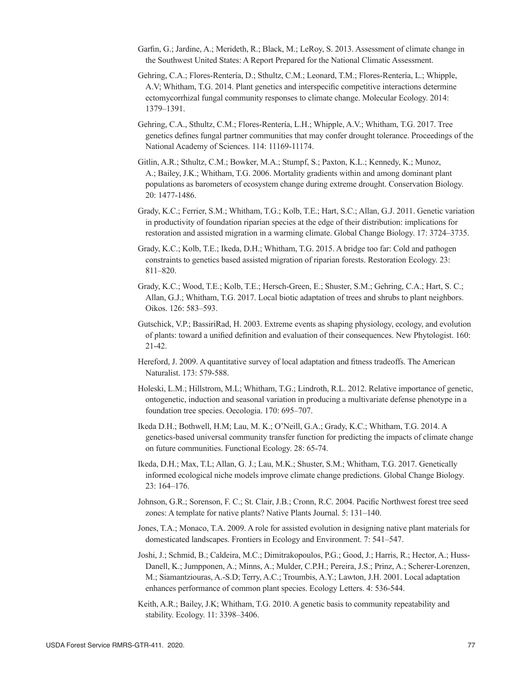- Garfin, G.; Jardine, A.; Merideth, R.; Black, M.; LeRoy, S. 2013. Assessment of climate change in the Southwest United States: A Report Prepared for the National Climatic Assessment.
- Gehring, C.A.; Flores-Rentería, D.; Sthultz, C.M.; Leonard, T.M.; Flores-Rentería, L.; Whipple, A.V; Whitham, T.G. 2014. Plant genetics and interspecific competitive interactions determine ectomycorrhizal fungal community responses to climate change. Molecular Ecology. 2014: 1379–1391.
- Gehring, C.A., Sthultz, C.M.; Flores-Rentería, L.H.; Whipple, A.V.; Whitham, T.G. 2017. Tree genetics defines fungal partner communities that may confer drought tolerance. Proceedings of the National Academy of Sciences. 114: 11169-11174.
- Gitlin, A.R.; Sthultz, C.M.; Bowker, M.A.; Stumpf, S.; Paxton, K.L.; Kennedy, K.; Munoz, A.; Bailey, J.K.; Whitham, T.G. 2006. Mortality gradients within and among dominant plant populations as barometers of ecosystem change during extreme drought. Conservation Biology. 20: 1477-1486.
- Grady, K.C.; Ferrier, S.M.; Whitham, T.G.; Kolb, T.E.; Hart, S.C.; Allan, G.J. 2011. Genetic variation in productivity of foundation riparian species at the edge of their distribution: implications for restoration and assisted migration in a warming climate. Global Change Biology. 17: 3724–3735.
- Grady, K.C.; Kolb, T.E.; Ikeda, D.H.; Whitham, T.G. 2015. A bridge too far: Cold and pathogen constraints to genetics based assisted migration of riparian forests. Restoration Ecology. 23: 811–820.
- Grady, K.C.; Wood, T.E.; Kolb, T.E.; Hersch-Green, E.; Shuster, S.M.; Gehring, C.A.; Hart, S. C.; Allan, G.J.; Whitham, T.G. 2017. Local biotic adaptation of trees and shrubs to plant neighbors. Oikos. 126: 583–593.
- Gutschick, V.P.; BassiriRad, H. 2003. Extreme events as shaping physiology, ecology, and evolution of plants: toward a unified definition and evaluation of their consequences. New Phytologist. 160: 21-42.
- Hereford, J. 2009. A quantitative survey of local adaptation and fitness tradeoffs. The American Naturalist. 173: 579-588.
- Holeski, L.M.; Hillstrom, M.L; Whitham, T.G.; Lindroth, R.L. 2012. Relative importance of genetic, ontogenetic, induction and seasonal variation in producing a multivariate defense phenotype in a foundation tree species. Oecologia. 170: 695–707.
- Ikeda D.H.; Bothwell, H.M; Lau, M. K.; O'Neill, G.A.; Grady, K.C.; Whitham, T.G. 2014. A genetics-based universal community transfer function for predicting the impacts of climate change on future communities. Functional Ecology. 28: 65-74.
- Ikeda, D.H.; Max, T.L; Allan, G. J.; Lau, M.K.; Shuster, S.M.; Whitham, T.G. 2017. Genetically informed ecological niche models improve climate change predictions. Global Change Biology. 23: 164–176.
- Johnson, G.R.; Sorenson, F. C.; St. Clair, J.B.; Cronn, R.C. 2004. Pacific Northwest forest tree seed zones: A template for native plants? Native Plants Journal. 5: 131–140.
- Jones, T.A.; Monaco, T.A. 2009. A role for assisted evolution in designing native plant materials for domesticated landscapes. Frontiers in Ecology and Environment. 7: 541–547.
- Joshi, J.; Schmid, B.; Caldeira, M.C.; Dimitrakopoulos, P.G.; Good, J.; Harris, R.; Hector, A.; Huss-Danell, K.; Jumpponen, A.; Minns, A.; Mulder, C.P.H.; Pereira, J.S.; Prinz, A.; Scherer-Lorenzen, M.; Siamantziouras, A.-S.D; Terry, A.C.; Troumbis, A.Y.; Lawton, J.H. 2001. Local adaptation enhances performance of common plant species. Ecology Letters. 4: 536-544.
- Keith, A.R.; Bailey, J.K; Whitham, T.G. 2010. A genetic basis to community repeatability and stability. Ecology. 11: 3398–3406.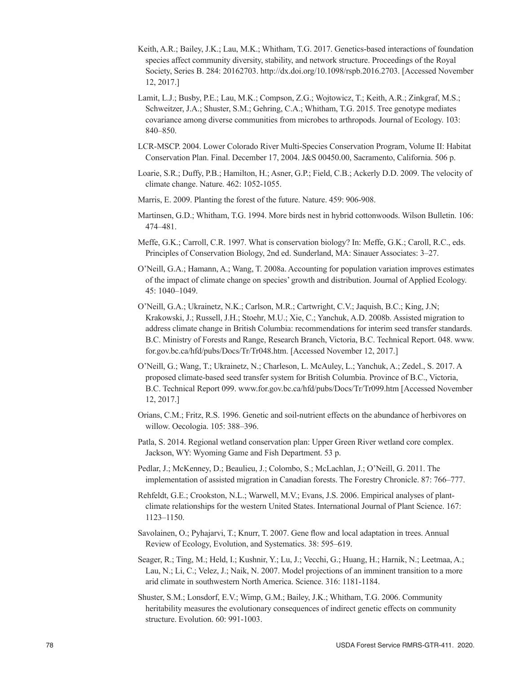- Keith, A.R.; Bailey, J.K.; Lau, M.K.; Whitham, T.G. 2017. Genetics-based interactions of foundation species affect community diversity, stability, and network structure. Proceedings of the Royal Society, Series B. 284: 20162703. [http://dx.doi.org/10.1098/rspb.2016.2703.](http://dx.doi.org/10.1098/rspb.2016.2703) [Accessed November 12, 2017.]
- Lamit, L.J.; Busby, P.E.; Lau, M.K.; Compson, Z.G.; Wojtowicz, T.; Keith, A.R.; Zinkgraf, M.S.; Schweitzer, J.A.; Shuster, S.M.; Gehring, C.A.; Whitham, T.G. 2015. Tree genotype mediates covariance among diverse communities from microbes to arthropods. Journal of Ecology. 103: 840–850.
- LCR-MSCP. 2004. Lower Colorado River Multi-Species Conservation Program, Volume II: Habitat Conservation Plan. Final. December 17, 2004. J&S 00450.00, Sacramento, California. 506 p.
- Loarie, S.R.; Duffy, P.B.; Hamilton, H.; Asner, G.P.; Field, C.B.; Ackerly D.D. 2009. The velocity of climate change. Nature. 462: 1052-1055.
- Marris, E. 2009. Planting the forest of the future. Nature. 459: 906-908.
- Martinsen, G.D.; Whitham, T.G. 1994. More birds nest in hybrid cottonwoods. Wilson Bulletin. 106: 474–481.
- Meffe, G.K.; Carroll, C.R. 1997. What is conservation biology? In: Meffe, G.K.; Caroll, R.C., eds. Principles of Conservation Biology, 2nd ed. Sunderland, MA: Sinauer Associates: 3–27.
- O'Neill, G.A.; Hamann, A.; Wang, T. 2008a. Accounting for population variation improves estimates of the impact of climate change on species' growth and distribution. Journal of Applied Ecology. 45: 1040–1049.
- O'Neill, G.A.; Ukrainetz, N.K.; Carlson, M.R.; Cartwright, C.V.; Jaquish, B.C.; King, J.N; Krakowski, J.; Russell, J.H.; Stoehr, M.U.; Xie, C.; Yanchuk, A.D. 2008b. Assisted migration to address climate change in British Columbia: recommendations for interim seed transfer standards. B.C. Ministry of Forests and Range, Research Branch, Victoria, B.C. Technical Report. 048. [www.](https://www.for.gov.bc.ca/hfd/pubs/Docs/Tr/Tr048.htm) [for.gov.bc.ca/hfd/pubs/Docs/Tr/Tr048.htm.](https://www.for.gov.bc.ca/hfd/pubs/Docs/Tr/Tr048.htm) [Accessed November 12, 2017.]
- O'Neill, G.; Wang, T.; Ukrainetz, N.; Charleson, L. McAuley, L.; Yanchuk, A.; Zedel., S. 2017. A proposed climate-based seed transfer system for British Columbia. Province of B.C., Victoria, B.C. Technical Report 099. [www.for.gov.bc.ca/hfd/pubs/Docs/Tr/Tr099.htm](http://www.for.gov.bc.ca/hfd/pubs/Docs/Tr/Tr099.htm) [Accessed November 12, 2017.]
- Orians, C.M.; Fritz, R.S. 1996. Genetic and soil-nutrient effects on the abundance of herbivores on willow. Oecologia. 105: 388–396.
- Patla, S. 2014. Regional wetland conservation plan: Upper Green River wetland core complex. Jackson, WY: Wyoming Game and Fish Department. 53 p.
- Pedlar, J.; McKenney, D.; Beaulieu, J.; Colombo, S.; McLachlan, J.; O'Neill, G. 2011. The implementation of assisted migration in Canadian forests. The Forestry Chronicle. 87: 766–777.
- Rehfeldt, G.E.; Crookston, N.L.; Warwell, M.V.; Evans, J.S. 2006. Empirical analyses of plantclimate relationships for the western United States. International Journal of Plant Science. 167: 1123–1150.
- Savolainen, O.; Pyhajarvi, T.; Knurr, T. 2007. Gene flow and local adaptation in trees. Annual Review of Ecology, Evolution, and Systematics. 38: 595–619.
- Seager, R.; Ting, M.; Held, I.; Kushnir, Y.; Lu, J.; Vecchi, G.; Huang, H.; Harnik, N.; Leetmaa, A.; Lau, N.; Li, C.; Velez, J.; Naik, N. 2007. Model projections of an imminent transition to a more arid climate in southwestern North America. Science. 316: 1181-1184.
- Shuster, S.M.; Lonsdorf, E.V.; Wimp, G.M.; Bailey, J.K.; Whitham, T.G. 2006. Community heritability measures the evolutionary consequences of indirect genetic effects on community structure. Evolution. 60: 991-1003.